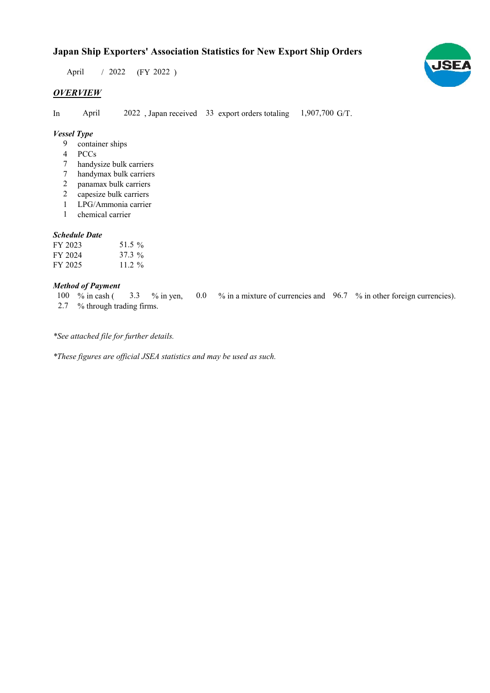## **Japan Ship Exporters' Association Statistics for New Export Ship Orders**

 $/ 2022$  (FY 2022) April

## *OVERVIEW*

In April 2022, Japan received 33 export orders totaling 1,907,700 G/T.

### *Vessel Type*

- container ships 9
- 4 PCCs
- handysize bulk carriers 7
- handymax bulk carriers 7
- panamax bulk carriers 2
- capesize bulk carriers 2
- 1 LPG/Ammonia carrier
- chemical carrier 1

#### *Schedule Date*

| FY 2023 | 51.5 %   |
|---------|----------|
| FY 2024 | $37.3\%$ |
| FY 2025 | $11.2\%$ |

#### *Method of Payment*

% in cash ( $\frac{3.3}{8}$  % in yen, 0.0 % in a mixture of currencies and 96.7 % in other foreign currencies). % through trading firms. 2.7 3.3 % in yen, 100  $%$  in cash (

*\*See attached file for further details.*

*\*These figures are official JSEA statistics and may be used as such.*

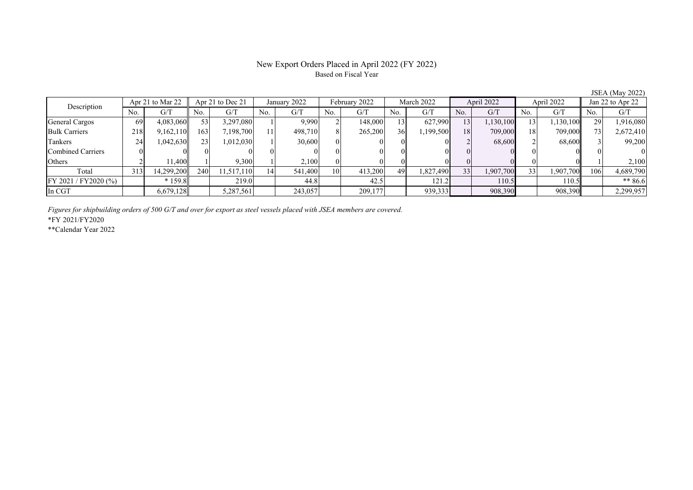## New Export Orders Placed in April 2022 (FY 2022) Based on Fiscal Year

JSEA (May 2022)

| Apr 21 to Mar 22<br>Description |     |            | Apr 21 to Dec 21 |            | January 2022 |         | February 2022 |         | March 2022 |           | April 2022 |           | April 2022 |           | Jan 22 to Apr 22 |           |
|---------------------------------|-----|------------|------------------|------------|--------------|---------|---------------|---------|------------|-----------|------------|-----------|------------|-----------|------------------|-----------|
|                                 | No. | G/T        | No.              | G/T        | No.          | G/T     | No.           | G/T     | No.        | G/T       | No.        | G/T       | No.        | G/T       | No.              | G/T       |
| General Cargos                  | 69  | 4,083,060  | 53               | 3,297,080  |              | 9,990   |               | 148,000 | 13         | 627,990   | 13         | 1,130,100 | 13         | 1,130,100 | 29               | 1,916,080 |
| <b>Bulk Carriers</b>            | 218 | 9,162,110  | 163              | 7,198,700  |              | 498,710 |               | 265,200 | 36         | 1,199,500 | <b>18</b>  | 709,000   | 18         | 709,000   |                  | 2,672,410 |
| Tankers                         | 24  | 0.042,630  | 23 <sup>1</sup>  | 1,012,030  |              | 30,600  |               |         |            |           |            | 68,600    |            | 68,600    |                  | 99,200    |
| Combined Carriers               |     |            |                  |            |              |         |               |         |            |           |            |           |            |           |                  | $\Omega$  |
| Others                          |     | 11.400     |                  | 9,300      |              | 2,100   |               |         |            |           |            |           |            |           |                  | 2,100     |
| Total                           | 313 | 14.299.200 | 240              | 11,517,110 | 14           | 541.400 | 10            | 413,200 | 49         | 1,827,490 | 33         | 1,907,700 | 33         | 1,907,700 | 106              | 4,689,790 |
| FY 2021 / FY 2020 (%)           |     | $*159.8$   |                  | 219.0      |              | 44.8    |               | 42.5    |            | 121.2     |            | 110.5     |            | 110.5     |                  | ** 86.6   |
| In CGT                          |     | 6,679,128  |                  | 5,287,561  |              | 243,057 |               | 209,177 |            | 939,333   |            | 908,390   |            | 908,390   |                  | 2,299,957 |

*Figures for shipbuilding orders of 500 G/T and over for export as steel vessels placed with JSEA members are covered.*

\*FY 2021/FY2020

\*\*Calendar Year 2022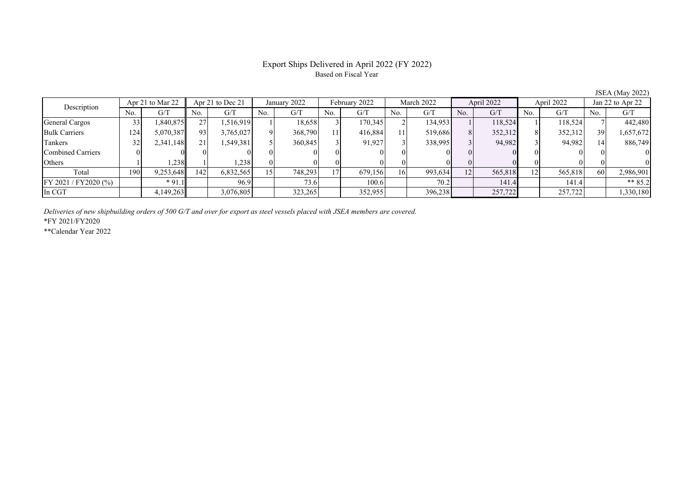## Export Ships Delivered in April 2022 (FY 2022) Based on Fiscal Year

JSEA (May 2022)

| Description           |     | Apr 21 to Mar 22 |     | Apr 21 to Dec 21 |     | January 2022 |     | February 2022 |     | March 2022 |     | April 2022 |     | April 2022 |     | Jan 22 to Apr 22 |  |
|-----------------------|-----|------------------|-----|------------------|-----|--------------|-----|---------------|-----|------------|-----|------------|-----|------------|-----|------------------|--|
|                       | No. | G/T              | No. | G/T              | No. | G/T          | No. | G/T           | No. | G/T        | No. | G/T        | No. | G/T        | No. | G/T              |  |
| General Cargos        | 33  | .840.875         | 27  | 1,516,919        |     | 18,658       |     | 170,345       |     | 134,953    |     | 118,524    |     | 118,524    |     | 442,480          |  |
| <b>Bulk Carriers</b>  | 124 | 5,070,387        | 93  | 3,765,027        |     | 368,790      |     | 416,884       |     | 519,686    | 8   | 352,312    |     | 352,312    | 39  | 1,657,672        |  |
| Tankers               | 32  | 2,341,148        | 211 | 1,549,381        |     | 360,845      |     | 91,927        |     | 338,995    |     | 94,982     |     | 94,982     |     | 886,749          |  |
| Combined Carriers     |     |                  |     |                  |     |              |     |               |     |            |     |            |     |            |     |                  |  |
| Others                |     | 238              |     | 1,238            |     |              |     |               |     |            |     |            |     |            |     |                  |  |
| Total                 | 190 | 9,253,648        | 142 | 6,832,565        | 15  | 748,293      |     | 679,156       | 16  | 993,634    | 12  | 565,818    | 12  | 565,818    | 60  | 2,986,901        |  |
| FY 2021 / FY 2020 (%) |     | $*91.1$          |     | 96.9             |     | 73.6         |     | 100.6         |     | 70.2       |     | 141.4      |     | 141.4      |     | ** $85.2$        |  |
| In CGT                |     | 4,149,263        |     | 3,076,805        |     | 323,265      |     | 352,955       |     | 396,238    |     | 257,722    |     | 257,722    |     | 1,330,180        |  |

*Deliveries of new shipbuilding orders of 500 G/T and over for export as steel vessels placed with JSEA members are covered.*

\*FY 2021/FY2020

\*\*Calendar Year 2022